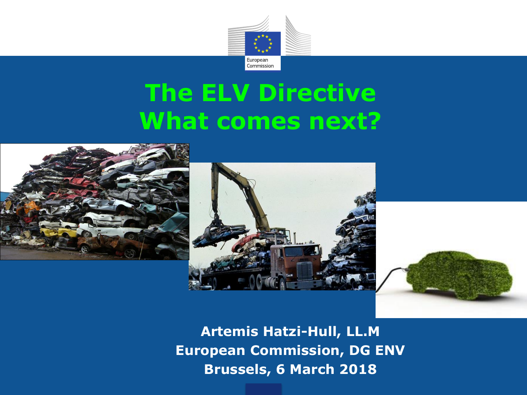

# **The ELV Directive What comes next?**







**Artemis Hatzi-Hull, LL.M European Commission, DG ENV Brussels, 6 March 2018**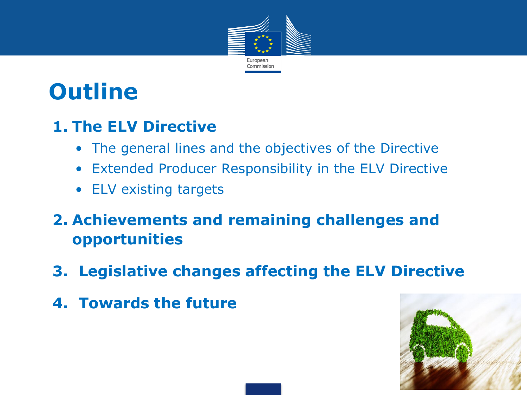

## **Outline**

#### **1. The ELV Directive**

- The general lines and the objectives of the Directive
- Extended Producer Responsibility in the ELV Directive
- ELV existing targets

#### **2. Achievements and remaining challenges and opportunities**

- **3. Legislative changes affecting the ELV Directive**
- **4. Towards the future**

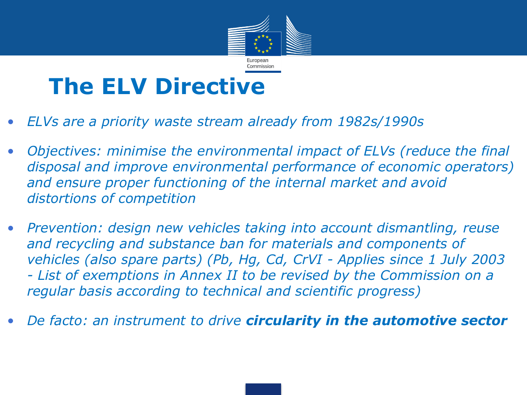

### **The ELV Directive**

- *ELVs are a priority waste stream already from 1982s/1990s*
- *Objectives: minimise the environmental impact of ELVs (reduce the final disposal and improve environmental performance of economic operators) and ensure proper functioning of the internal market and avoid distortions of competition*
- *Prevention: design new vehicles taking into account dismantling, reuse and recycling and substance ban for materials and components of vehicles (also spare parts) (Pb, Hg, Cd, CrVI - Applies since 1 July 2003 - List of exemptions in Annex II to be revised by the Commission on a regular basis according to technical and scientific progress)*
- *De facto: an instrument to drive circularity in the automotive sector*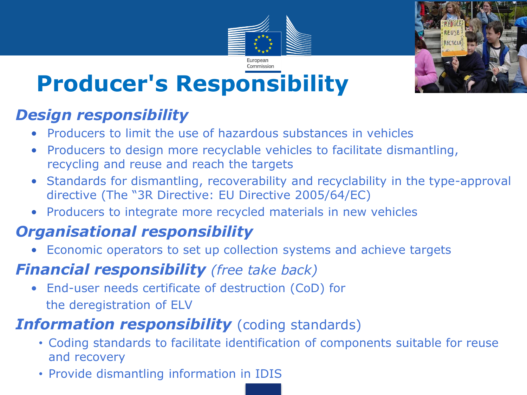



# **Producer's Responsibility**

#### *Design responsibility*

- Producers to limit the use of hazardous substances in vehicles
- Producers to design more recyclable vehicles to facilitate dismantling, recycling and reuse and reach the targets
- Standards for dismantling, recoverability and recyclability in the type-approval directive (The "3R Directive: EU Directive 2005/64/EC)
- Producers to integrate more recycled materials in new vehicles

#### *Organisational responsibility*

• Economic operators to set up collection systems and achieve targets

#### *Financial responsibility (free take back)*

• End-user needs certificate of destruction (CoD) for the deregistration of ELV

#### **Information responsibility** (coding standards)

- Coding standards to facilitate identification of components suitable for reuse and recovery
- Provide dismantling information in IDIS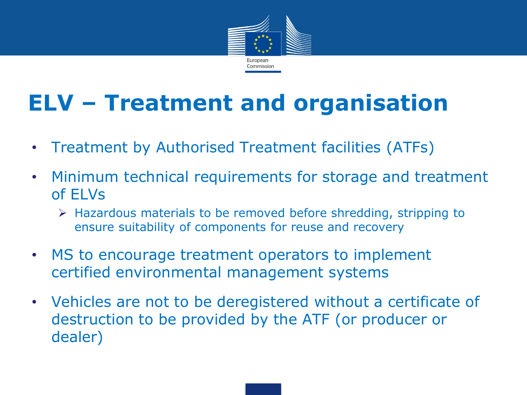

## **ELV – Treatment and organisation**

- Treatment by Authorised Treatment facilities (ATFs)
- Minimum technical requirements for storage and treatment of ELVs
	- Hazardous materials to be removed before shredding, stripping to ensure suitability of components for reuse and recovery
- MS to encourage treatment operators to implement certified environmental management systems
- Vehicles are not to be deregistered without a certificate of destruction to be provided by the ATF (or producer or dealer)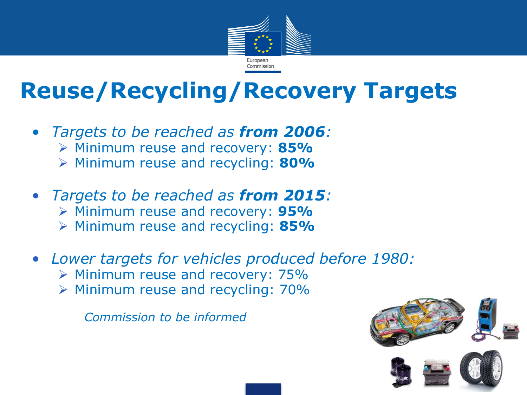

## **Reuse/Recycling/Recovery Targets**

- *Targets to be reached as from 2006:*
	- Minimum reuse and recovery: **85%**
	- Minimum reuse and recycling: **80%**
- *Targets to be reached as from 2015:*
	- Minimum reuse and recovery: **95%**
	- Minimum reuse and recycling: **85%**
- *Lower targets for vehicles produced before 1980:*
	- $\triangleright$  Minimum reuse and recovery: 75%
	- $\triangleright$  Minimum reuse and recycling: 70%

*Commission to be informed*

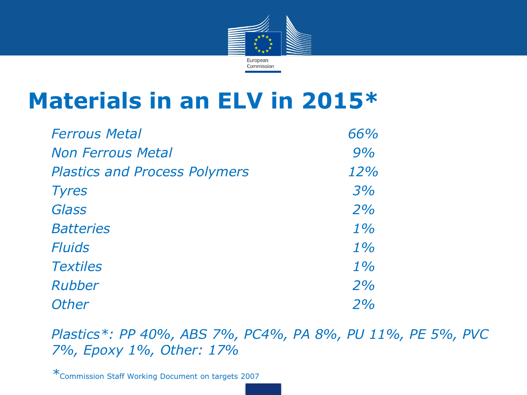

### **Materials in an ELV in 2015\***

| <b>Ferrous Metal</b>                 | 66%   |
|--------------------------------------|-------|
| <b>Non Ferrous Metal</b>             | 9%    |
| <b>Plastics and Process Polymers</b> | 12%   |
| <b>Tyres</b>                         | 3%    |
| Glass                                | 2%    |
| <b>Batteries</b>                     | $1\%$ |
| <b>Fluids</b>                        | $1\%$ |
| <b>Textiles</b>                      | $1\%$ |
| Rubber                               | 2%    |
| <b>Other</b>                         | 2%    |

• *Plastics\*: PP 40%, ABS 7%, PC4%, PA 8%, PU 11%, PE 5%, PVC 7%, Epoxy 1%, Other: 17%*

• *\**Commission Staff Working Document on targets 2007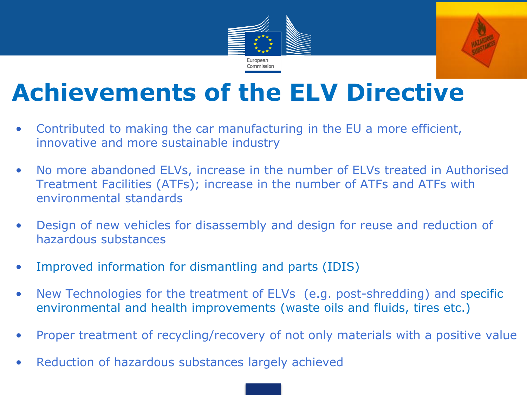



# **Achievements of the ELV Directive**

- Contributed to making the car manufacturing in the EU a more efficient, innovative and more sustainable industry
- No more abandoned ELVs, increase in the number of ELVs treated in Authorised Treatment Facilities (ATFs); increase in the number of ATFs and ATFs with environmental standards
- Design of new vehicles for disassembly and design for reuse and reduction of hazardous substances
- Improved information for dismantling and parts (IDIS)
- New Technologies for the treatment of ELVs (e.g. post-shredding) and specific environmental and health improvements (waste oils and fluids, tires etc.)
- Proper treatment of recycling/recovery of not only materials with a positive value
- Reduction of hazardous substances largely achieved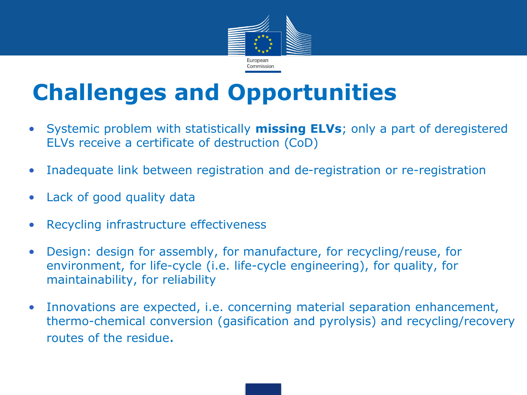

## **Challenges and Opportunities**

- Systemic problem with statistically **missing ELVs**; only a part of deregistered ELVs receive a certificate of destruction (CoD)
- Inadequate link between registration and de-registration or re-registration
- Lack of good quality data
- Recycling infrastructure effectiveness
- Design: design for assembly, for manufacture, for recycling/reuse, for environment, for life-cycle (i.e. life-cycle engineering), for quality, for maintainability, for reliability
- Innovations are expected, i.e. concerning material separation enhancement, thermo-chemical conversion (gasification and pyrolysis) and recycling/recovery routes of the residue.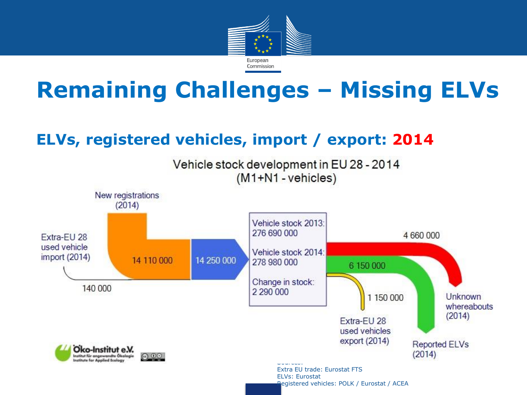

## **Remaining Challenges – Missing ELVs**

#### **ELVs, registered vehicles, import / export: 2014**

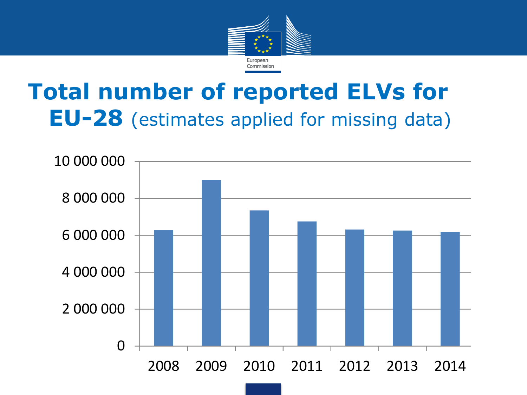

#### **Total number of reported ELVs for EU-28** (estimates applied for missing data) **Number of ELVis Annumber of ELVis**

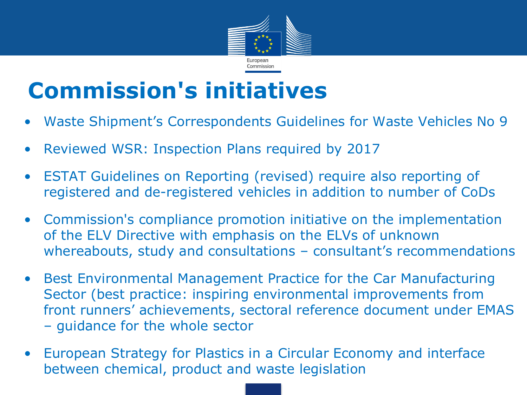

## **Commission's initiatives**

- Waste Shipment's Correspondents Guidelines for Waste Vehicles No 9
- Reviewed WSR: Inspection Plans required by 2017
- ESTAT Guidelines on Reporting (revised) require also reporting of registered and de-registered vehicles in addition to number of CoDs
- Commission's compliance promotion initiative on the implementation of the ELV Directive with emphasis on the ELVs of unknown whereabouts, study and consultations – consultant's recommendations
- Best Environmental Management Practice for the Car Manufacturing Sector (best practice: inspiring environmental improvements from front runners' achievements, sectoral reference document under EMAS – guidance for the whole sector
- European Strategy for Plastics in a Circular Economy and interface between chemical, product and waste legislation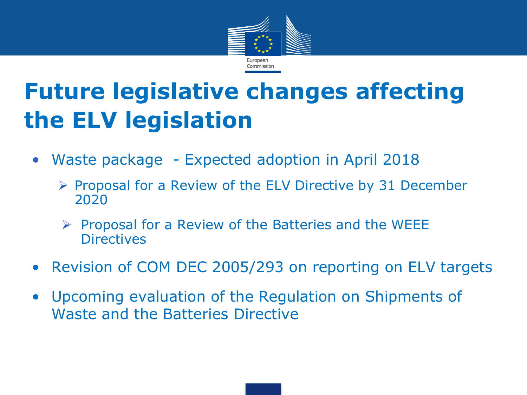

# **Future legislative changes affecting the ELV legislation**

- Waste package Expected adoption in April 2018
	- $\triangleright$  Proposal for a Review of the ELV Directive by 31 December 2020
	- $\triangleright$  Proposal for a Review of the Batteries and the WEEE **Directives**
- Revision of COM DEC 2005/293 on reporting on ELV targets
- Upcoming evaluation of the Regulation on Shipments of Waste and the Batteries Directive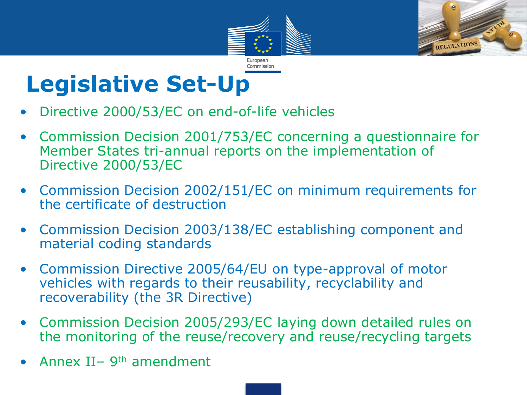



## **Legislative Set-Up**

- Directive 2000/53/EC on end-of-life vehicles
- Commission Decision 2001/753/EC concerning a questionnaire for Member States tri-annual reports on the implementation of Directive 2000/53/EC
- Commission Decision 2002/151/EC on minimum requirements for the certificate of destruction
- Commission Decision 2003/138/EC establishing component and material coding standards
- Commission Directive 2005/64/EU on type-approval of motor vehicles with regards to their reusability, recyclability and recoverability (the 3R Directive)
- Commission Decision 2005/293/EC laying down detailed rules on the monitoring of the reuse/recovery and reuse/recycling targets
- Annex II– 9<sup>th</sup> amendment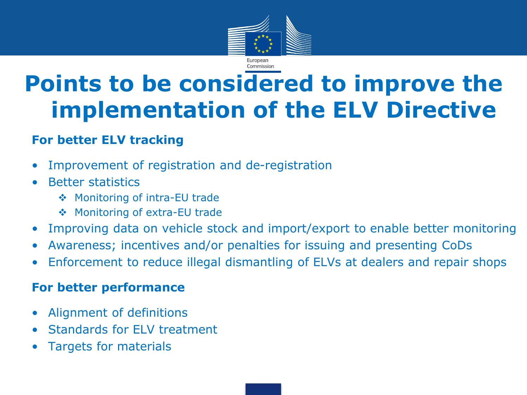

## **Points to be considered to improve the implementation of the ELV Directive**

#### **For better ELV tracking**

- Improvement of registration and de-registration
- Better statistics
	- ◆ Monitoring of intra-EU trade
	- ◆ Monitoring of extra-EU trade
- Improving data on vehicle stock and import/export to enable better monitoring
- Awareness; incentives and/or penalties for issuing and presenting CoDs
- Enforcement to reduce illegal dismantling of ELVs at dealers and repair shops

#### **For better performance**

- Alignment of definitions
- Standards for ELV treatment
- Targets for materials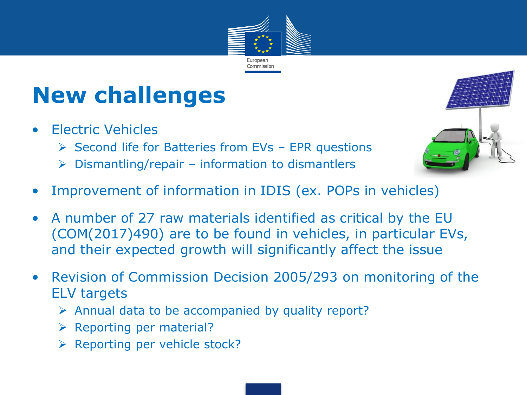

# **New challenges**

- Electric Vehicles
	- $\triangleright$  Second life for Batteries from EVs EPR questions
	- $\triangleright$  Dismantling/repair information to dismantlers
- Improvement of information in IDIS (ex. POPs in vehicles)
- A number of 27 raw materials identified as critical by the EU (COM(2017)490) are to be found in vehicles, in particular EVs, and their expected growth will significantly affect the issue
- Revision of Commission Decision 2005/293 on monitoring of the ELV targets
	- $\triangleright$  Annual data to be accompanied by quality report?
	- $\triangleright$  Reporting per material?
	- $\triangleright$  Reporting per vehicle stock?